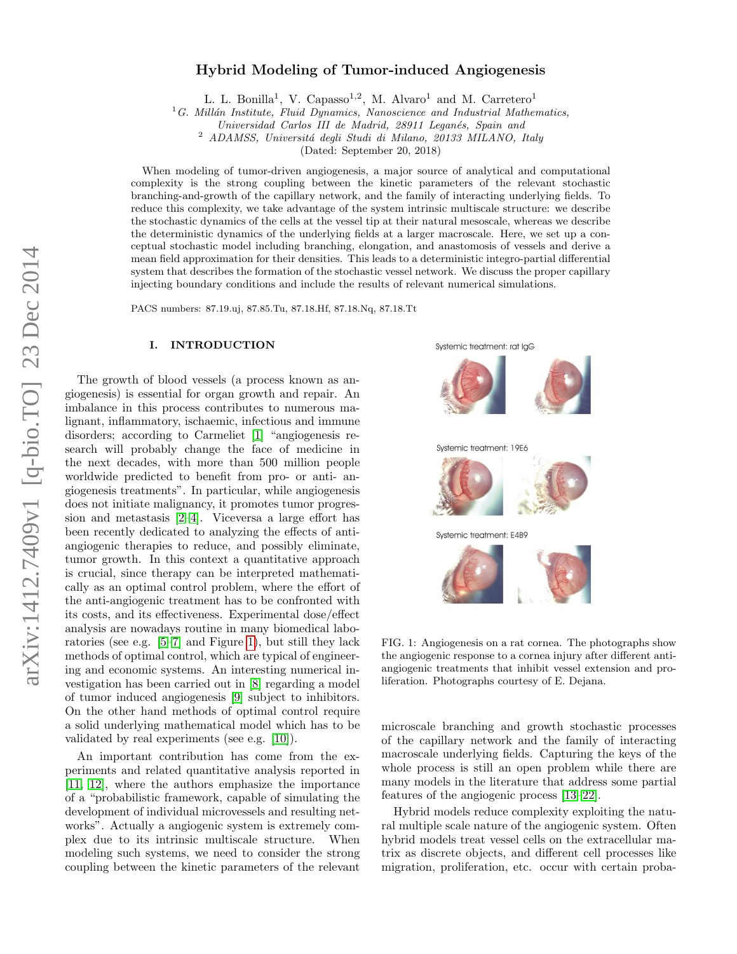# Hybrid Modeling of Tumor-induced Angiogenesis

L. L. Bonilla<sup>1</sup>, V. Capasso<sup>1,2</sup>, M. Alvaro<sup>1</sup> and M. Carretero<sup>1</sup>

 ${}^{1}G$ . Millán Institute, Fluid Dynamics, Nanoscience and Industrial Mathematics,

Universidad Carlos III de Madrid, 28911 Leganés, Spain and

<sup>2</sup> ADAMSS, Università degli Studi di Milano, 20133 MILANO, Italy

(Dated: September 20, 2018)

When modeling of tumor-driven angiogenesis, a major source of analytical and computational complexity is the strong coupling between the kinetic parameters of the relevant stochastic branching-and-growth of the capillary network, and the family of interacting underlying fields. To reduce this complexity, we take advantage of the system intrinsic multiscale structure: we describe the stochastic dynamics of the cells at the vessel tip at their natural mesoscale, whereas we describe the deterministic dynamics of the underlying fields at a larger macroscale. Here, we set up a conceptual stochastic model including branching, elongation, and anastomosis of vessels and derive a mean field approximation for their densities. This leads to a deterministic integro-partial differential system that describes the formation of the stochastic vessel network. We discuss the proper capillary injecting boundary conditions and include the results of relevant numerical simulations.

PACS numbers: 87.19.uj, 87.85.Tu, 87.18.Hf, 87.18.Nq, 87.18.Tt

# I. INTRODUCTION

The growth of blood vessels (a process known as angiogenesis) is essential for organ growth and repair. An imbalance in this process contributes to numerous malignant, inflammatory, ischaemic, infectious and immune disorders; according to Carmeliet [\[1\]](#page-10-0) "angiogenesis research will probably change the face of medicine in the next decades, with more than 500 million people worldwide predicted to benefit from pro- or anti- angiogenesis treatments". In particular, while angiogenesis does not initiate malignancy, it promotes tumor progression and metastasis [\[2](#page-10-1)[–4\]](#page-10-2). Viceversa a large effort has been recently dedicated to analyzing the effects of antiangiogenic therapies to reduce, and possibly eliminate, tumor growth. In this context a quantitative approach is crucial, since therapy can be interpreted mathematically as an optimal control problem, where the effort of the anti-angiogenic treatment has to be confronted with its costs, and its effectiveness. Experimental dose/effect analysis are nowadays routine in many biomedical laboratories (see e.g. [\[5](#page-10-3)[–7\]](#page-10-4) and Figure [1\)](#page-0-0), but still they lack methods of optimal control, which are typical of engineering and economic systems. An interesting numerical investigation has been carried out in [\[8\]](#page-10-5) regarding a model of tumor induced angiogenesis [\[9\]](#page-10-6) subject to inhibitors. On the other hand methods of optimal control require a solid underlying mathematical model which has to be validated by real experiments (see e.g. [\[10\]](#page-10-7)).

An important contribution has come from the experiments and related quantitative analysis reported in [\[11,](#page-10-8) [12\]](#page-10-9), where the authors emphasize the importance of a "probabilistic framework, capable of simulating the development of individual microvessels and resulting networks". Actually a angiogenic system is extremely complex due to its intrinsic multiscale structure. When modeling such systems, we need to consider the strong coupling between the kinetic parameters of the relevant



<span id="page-0-0"></span>FIG. 1: Angiogenesis on a rat cornea. The photographs show the angiogenic response to a cornea injury after different antiangiogenic treatments that inhibit vessel extension and proliferation. Photographs courtesy of E. Dejana.

microscale branching and growth stochastic processes of the capillary network and the family of interacting macroscale underlying fields. Capturing the keys of the whole process is still an open problem while there are many models in the literature that address some partial features of the angiogenic process [\[13–](#page-10-10)[22\]](#page-10-11).

Hybrid models reduce complexity exploiting the natural multiple scale nature of the angiogenic system. Often hybrid models treat vessel cells on the extracellular matrix as discrete objects, and different cell processes like migration, proliferation, etc. occur with certain proba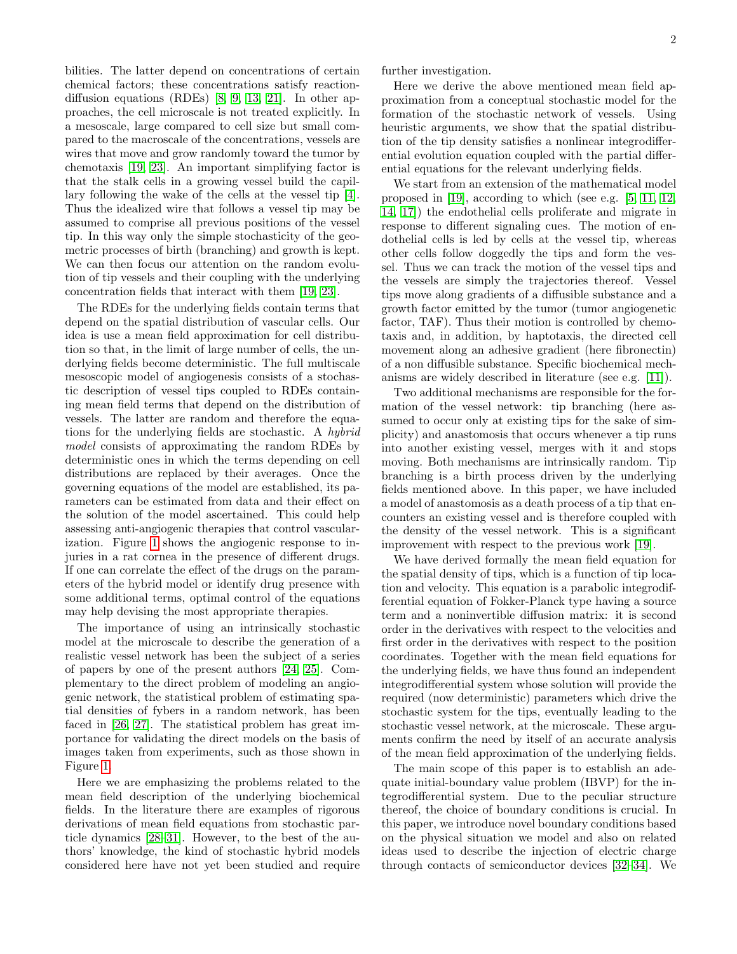bilities. The latter depend on concentrations of certain chemical factors; these concentrations satisfy reactiondiffusion equations (RDEs) [\[8,](#page-10-5) [9,](#page-10-6) [13,](#page-10-10) [21\]](#page-10-12). In other approaches, the cell microscale is not treated explicitly. In a mesoscale, large compared to cell size but small compared to the macroscale of the concentrations, vessels are wires that move and grow randomly toward the tumor by chemotaxis [\[19,](#page-10-13) [23\]](#page-10-14). An important simplifying factor is that the stalk cells in a growing vessel build the capillary following the wake of the cells at the vessel tip [\[4\]](#page-10-2). Thus the idealized wire that follows a vessel tip may be assumed to comprise all previous positions of the vessel tip. In this way only the simple stochasticity of the geometric processes of birth (branching) and growth is kept. We can then focus our attention on the random evolution of tip vessels and their coupling with the underlying concentration fields that interact with them [\[19,](#page-10-13) [23\]](#page-10-14).

The RDEs for the underlying fields contain terms that depend on the spatial distribution of vascular cells. Our idea is use a mean field approximation for cell distribution so that, in the limit of large number of cells, the underlying fields become deterministic. The full multiscale mesoscopic model of angiogenesis consists of a stochastic description of vessel tips coupled to RDEs containing mean field terms that depend on the distribution of vessels. The latter are random and therefore the equations for the underlying fields are stochastic. A hybrid model consists of approximating the random RDEs by deterministic ones in which the terms depending on cell distributions are replaced by their averages. Once the governing equations of the model are established, its parameters can be estimated from data and their effect on the solution of the model ascertained. This could help assessing anti-angiogenic therapies that control vascularization. Figure [1](#page-0-0) shows the angiogenic response to injuries in a rat cornea in the presence of different drugs. If one can correlate the effect of the drugs on the parameters of the hybrid model or identify drug presence with some additional terms, optimal control of the equations may help devising the most appropriate therapies.

The importance of using an intrinsically stochastic model at the microscale to describe the generation of a realistic vessel network has been the subject of a series of papers by one of the present authors [\[24,](#page-10-15) [25\]](#page-10-16). Complementary to the direct problem of modeling an angiogenic network, the statistical problem of estimating spatial densities of fybers in a random network, has been faced in [\[26,](#page-10-17) [27\]](#page-11-0). The statistical problem has great importance for validating the direct models on the basis of images taken from experiments, such as those shown in Figure [1.](#page-0-0)

Here we are emphasizing the problems related to the mean field description of the underlying biochemical fields. In the literature there are examples of rigorous derivations of mean field equations from stochastic particle dynamics [\[28](#page-11-1)[–31\]](#page-11-2). However, to the best of the authors' knowledge, the kind of stochastic hybrid models considered here have not yet been studied and require 2

further investigation.

Here we derive the above mentioned mean field approximation from a conceptual stochastic model for the formation of the stochastic network of vessels. Using heuristic arguments, we show that the spatial distribution of the tip density satisfies a nonlinear integrodifferential evolution equation coupled with the partial differential equations for the relevant underlying fields.

We start from an extension of the mathematical model proposed in [\[19\]](#page-10-13), according to which (see e.g. [\[5,](#page-10-3) [11,](#page-10-8) [12,](#page-10-9) [14,](#page-10-18) [17\]](#page-10-19)) the endothelial cells proliferate and migrate in response to different signaling cues. The motion of endothelial cells is led by cells at the vessel tip, whereas other cells follow doggedly the tips and form the vessel. Thus we can track the motion of the vessel tips and the vessels are simply the trajectories thereof. Vessel tips move along gradients of a diffusible substance and a growth factor emitted by the tumor (tumor angiogenetic factor, TAF). Thus their motion is controlled by chemotaxis and, in addition, by haptotaxis, the directed cell movement along an adhesive gradient (here fibronectin) of a non diffusible substance. Specific biochemical mechanisms are widely described in literature (see e.g. [\[11\]](#page-10-8)).

Two additional mechanisms are responsible for the formation of the vessel network: tip branching (here assumed to occur only at existing tips for the sake of simplicity) and anastomosis that occurs whenever a tip runs into another existing vessel, merges with it and stops moving. Both mechanisms are intrinsically random. Tip branching is a birth process driven by the underlying fields mentioned above. In this paper, we have included a model of anastomosis as a death process of a tip that encounters an existing vessel and is therefore coupled with the density of the vessel network. This is a significant improvement with respect to the previous work [\[19\]](#page-10-13).

We have derived formally the mean field equation for the spatial density of tips, which is a function of tip location and velocity. This equation is a parabolic integrodifferential equation of Fokker-Planck type having a source term and a noninvertible diffusion matrix: it is second order in the derivatives with respect to the velocities and first order in the derivatives with respect to the position coordinates. Together with the mean field equations for the underlying fields, we have thus found an independent integrodifferential system whose solution will provide the required (now deterministic) parameters which drive the stochastic system for the tips, eventually leading to the stochastic vessel network, at the microscale. These arguments confirm the need by itself of an accurate analysis of the mean field approximation of the underlying fields.

The main scope of this paper is to establish an adequate initial-boundary value problem (IBVP) for the integrodifferential system. Due to the peculiar structure thereof, the choice of boundary conditions is crucial. In this paper, we introduce novel boundary conditions based on the physical situation we model and also on related ideas used to describe the injection of electric charge through contacts of semiconductor devices [\[32](#page-11-3)[–34\]](#page-11-4). We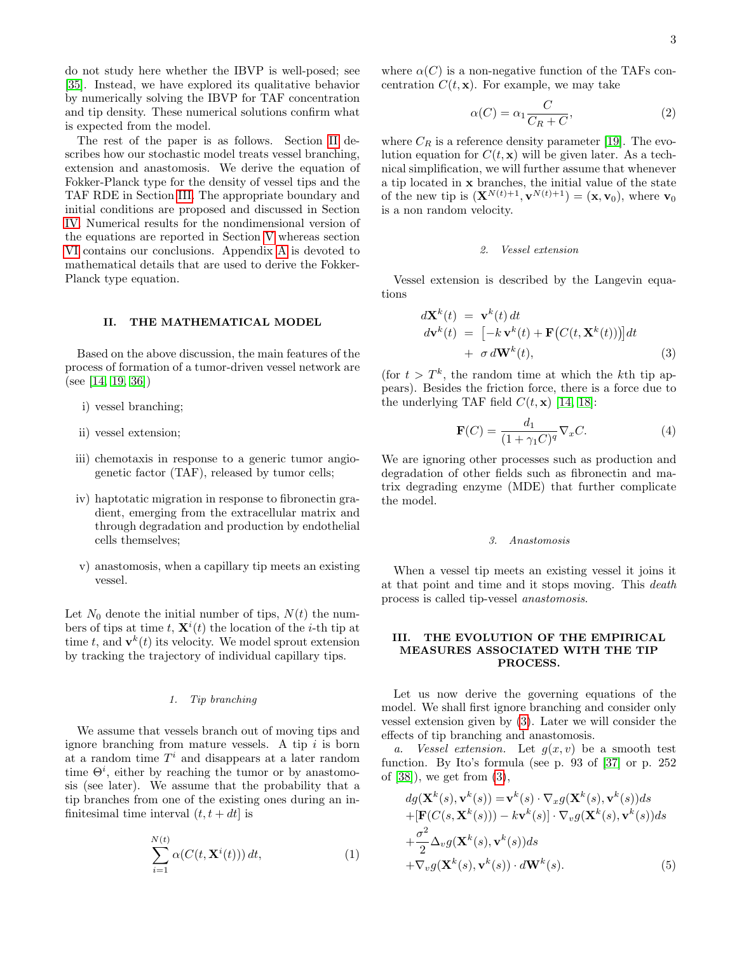do not study here whether the IBVP is well-posed; see [\[35\]](#page-11-5). Instead, we have explored its qualitative behavior by numerically solving the IBVP for TAF concentration and tip density. These numerical solutions confirm what is expected from the model.

The rest of the paper is as follows. Section [II](#page-2-0) describes how our stochastic model treats vessel branching, extension and anastomosis. We derive the equation of Fokker-Planck type for the density of vessel tips and the TAF RDE in Section [III.](#page-2-1) The appropriate boundary and initial conditions are proposed and discussed in Section [IV.](#page-4-0) Numerical results for the nondimensional version of the equations are reported in Section [V](#page-5-0) whereas section [VI](#page-7-0) contains our conclusions. Appendix [A](#page-8-0) is devoted to mathematical details that are used to derive the Fokker-Planck type equation.

# <span id="page-2-0"></span>II. THE MATHEMATICAL MODEL

Based on the above discussion, the main features of the process of formation of a tumor-driven vessel network are (see [\[14,](#page-10-18) [19,](#page-10-13) [36\]](#page-11-6))

- i) vessel branching;
- ii) vessel extension;
- iii) chemotaxis in response to a generic tumor angiogenetic factor (TAF), released by tumor cells;
- iv) haptotatic migration in response to fibronectin gradient, emerging from the extracellular matrix and through degradation and production by endothelial cells themselves;
- v) anastomosis, when a capillary tip meets an existing vessel.

Let  $N_0$  denote the initial number of tips,  $N(t)$  the numbers of tips at time t,  $\mathbf{X}^i(t)$  the location of the i-th tip at time t, and  $\mathbf{v}^k(t)$  its velocity. We model sprout extension by tracking the trajectory of individual capillary tips.

#### 1. Tip branching

We assume that vessels branch out of moving tips and ignore branching from mature vessels. A tip  $i$  is born at a random time  $T<sup>i</sup>$  and disappears at a later random time  $\Theta^i$ , either by reaching the tumor or by anastomosis (see later). We assume that the probability that a tip branches from one of the existing ones during an infinitesimal time interval  $(t, t + dt)$  is

$$
\sum_{i=1}^{N(t)} \alpha(C(t, \mathbf{X}^i(t))) dt,
$$
\n(1)

where  $\alpha(C)$  is a non-negative function of the TAFs concentration  $C(t, \mathbf{x})$ . For example, we may take

$$
\alpha(C) = \alpha_1 \frac{C}{C_R + C},\tag{2}
$$

where  $C_R$  is a reference density parameter [\[19\]](#page-10-13). The evolution equation for  $C(t, x)$  will be given later. As a technical simplification, we will further assume that whenever a tip located in x branches, the initial value of the state of the new tip is  $(\mathbf{X}^{N(t)+1}, \mathbf{v}^{N(t)+1}) = (\mathbf{x}, \mathbf{v}_0)$ , where  $\mathbf{v}_0$ is a non random velocity.

#### 2. Vessel extension

Vessel extension is described by the Langevin equations

<span id="page-2-2"></span>
$$
d\mathbf{X}^{k}(t) = \mathbf{v}^{k}(t) dt
$$
  
\n
$$
d\mathbf{v}^{k}(t) = [-k \mathbf{v}^{k}(t) + \mathbf{F}(C(t, \mathbf{X}^{k}(t)))]dt
$$
  
\n
$$
+ \sigma d\mathbf{W}^{k}(t),
$$
\n(3)

(for  $t > T^k$ , the random time at which the k<sup>th</sup> tip appears). Besides the friction force, there is a force due to the underlying TAF field  $C(t, \mathbf{x})$  [\[14,](#page-10-18) [18\]](#page-10-20):

$$
\mathbf{F}(C) = \frac{d_1}{(1 + \gamma_1 C)^q} \nabla_x C.
$$
 (4)

We are ignoring other processes such as production and degradation of other fields such as fibronectin and matrix degrading enzyme (MDE) that further complicate the model.

#### 3. Anastomosis

When a vessel tip meets an existing vessel it joins it at that point and time and it stops moving. This death process is called tip-vessel anastomosis.

# <span id="page-2-1"></span>III. THE EVOLUTION OF THE EMPIRICAL MEASURES ASSOCIATED WITH THE TIP PROCESS.

Let us now derive the governing equations of the model. We shall first ignore branching and consider only vessel extension given by [\(3\)](#page-2-2). Later we will consider the effects of tip branching and anastomosis.

a. Vessel extension. Let  $g(x, v)$  be a smooth test function. By Ito's formula (see p. 93 of [\[37\]](#page-11-7) or p. 252 of [\[38\]](#page-11-8)), we get from [\(3\)](#page-2-2),

$$
dg(\mathbf{X}^{k}(s), \mathbf{v}^{k}(s)) = \mathbf{v}^{k}(s) \cdot \nabla_{x} g(\mathbf{X}^{k}(s), \mathbf{v}^{k}(s)) ds + [\mathbf{F}(C(s, \mathbf{X}^{k}(s))) - k\mathbf{v}^{k}(s)] \cdot \nabla_{v} g(\mathbf{X}^{k}(s), \mathbf{v}^{k}(s)) ds + \frac{\sigma^{2}}{2} \Delta_{v} g(\mathbf{X}^{k}(s), \mathbf{v}^{k}(s)) ds + \nabla_{v} g(\mathbf{X}^{k}(s), \mathbf{v}^{k}(s)) \cdot d\mathbf{W}^{k}(s).
$$
 (5)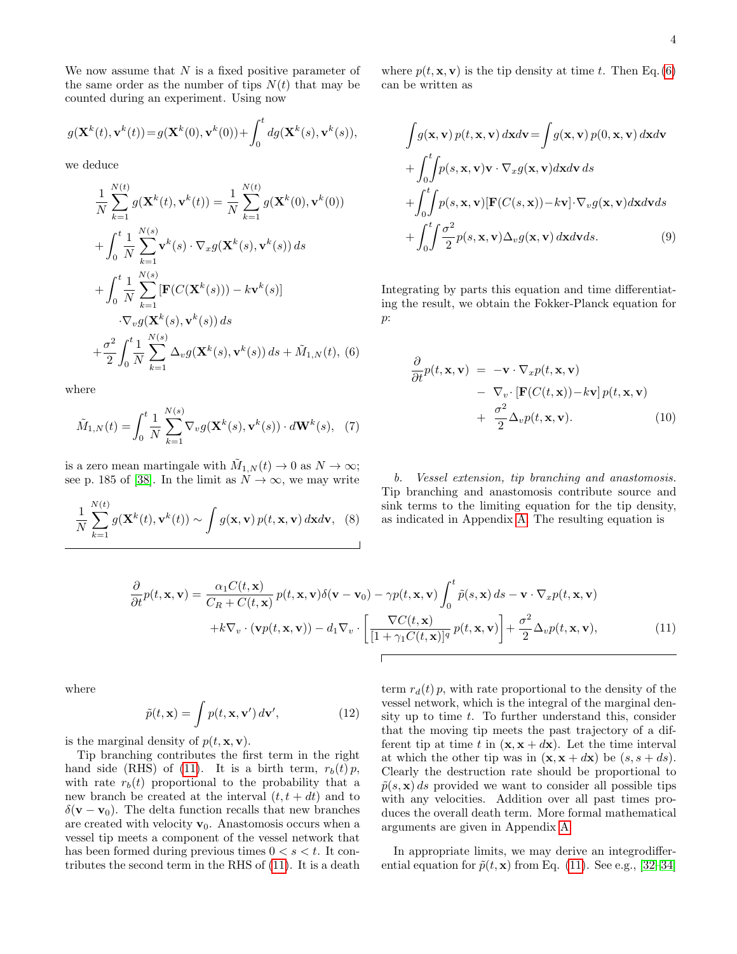We now assume that  $N$  is a fixed positive parameter of the same order as the number of tips  $N(t)$  that may be counted during an experiment. Using now

$$
g(\mathbf{X}^k(t), \mathbf{v}^k(t)) = g(\mathbf{X}^k(0), \mathbf{v}^k(0)) + \int_0^t dg(\mathbf{X}^k(s), \mathbf{v}^k(s)),
$$

we deduce

<span id="page-3-0"></span>
$$
\frac{1}{N} \sum_{k=1}^{N(t)} g(\mathbf{X}^{k}(t), \mathbf{v}^{k}(t)) = \frac{1}{N} \sum_{k=1}^{N(t)} g(\mathbf{X}^{k}(0), \mathbf{v}^{k}(0)) \n+ \int_{0}^{t} \frac{1}{N} \sum_{k=1}^{N(s)} \mathbf{v}^{k}(s) \cdot \nabla_{x} g(\mathbf{X}^{k}(s), \mathbf{v}^{k}(s)) ds \n+ \int_{0}^{t} \frac{1}{N} \sum_{k=1}^{N(s)} [\mathbf{F}(C(\mathbf{X}^{k}(s))) - k\mathbf{v}^{k}(s)] \n\cdot \nabla_{v} g(\mathbf{X}^{k}(s), \mathbf{v}^{k}(s)) ds \n+ \frac{\sigma^{2}}{2} \int_{0}^{t} \frac{1}{N} \sum_{k=1}^{N(s)} \Delta_{v} g(\mathbf{X}^{k}(s), \mathbf{v}^{k}(s)) ds + \tilde{M}_{1,N}(t), (6)
$$

where

<span id="page-3-3"></span>
$$
\tilde{M}_{1,N}(t) = \int_0^t \frac{1}{N} \sum_{k=1}^{N(s)} \nabla_v g(\mathbf{X}^k(s), \mathbf{v}^k(s)) \cdot d\mathbf{W}^k(s), \tag{7}
$$

is a zero mean martingale with  $\tilde{M}_{1,N}(t) \to 0$  as  $N \to \infty$ ; see p. 185 of [\[38\]](#page-11-8). In the limit as  $N \to \infty$ , we may write

$$
\frac{1}{N} \sum_{k=1}^{N(t)} g(\mathbf{X}^k(t), \mathbf{v}^k(t)) \sim \int g(\mathbf{x}, \mathbf{v}) p(t, \mathbf{x}, \mathbf{v}) d\mathbf{x} d\mathbf{v}, \quad (8)
$$

where  $p(t, \mathbf{x}, \mathbf{v})$  is the tip density at time t. Then Eq. [\(6\)](#page-3-0) can be written as

<span id="page-3-2"></span>
$$
\int g(\mathbf{x}, \mathbf{v}) p(t, \mathbf{x}, \mathbf{v}) d\mathbf{x} d\mathbf{v} = \int g(\mathbf{x}, \mathbf{v}) p(0, \mathbf{x}, \mathbf{v}) d\mathbf{x} d\mathbf{v} \n+ \int_0^t \int p(s, \mathbf{x}, \mathbf{v}) \mathbf{v} \cdot \nabla_x g(\mathbf{x}, \mathbf{v}) d\mathbf{x} d\mathbf{v} ds \n+ \int_0^t \int p(s, \mathbf{x}, \mathbf{v}) [\mathbf{F}(C(s, \mathbf{x})) - k\mathbf{v}] \cdot \nabla_v g(\mathbf{x}, \mathbf{v}) d\mathbf{x} d\mathbf{v} ds \n+ \int_0^t \int \frac{\sigma^2}{2} p(s, \mathbf{x}, \mathbf{v}) \Delta_v g(\mathbf{x}, \mathbf{v}) d\mathbf{x} d\mathbf{v} ds.
$$
\n(9)

Integrating by parts this equation and time differentiating the result, we obtain the Fokker-Planck equation for  $p$ :

$$
\frac{\partial}{\partial t}p(t, \mathbf{x}, \mathbf{v}) = -\mathbf{v} \cdot \nabla_x p(t, \mathbf{x}, \mathbf{v}) \n- \nabla_v \cdot \left[ \mathbf{F}(C(t, \mathbf{x})) - k\mathbf{v} \right] p(t, \mathbf{x}, \mathbf{v}) \n+ \frac{\sigma^2}{2} \Delta_v p(t, \mathbf{x}, \mathbf{v}).
$$
\n(10)

b. Vessel extension, tip branching and anastomosis. Tip branching and anastomosis contribute source and sink terms to the limiting equation for the tip density, as indicated in Appendix [A.](#page-8-0) The resulting equation is

<span id="page-3-1"></span>
$$
\frac{\partial}{\partial t}p(t, \mathbf{x}, \mathbf{v}) = \frac{\alpha_1 C(t, \mathbf{x})}{C_R + C(t, \mathbf{x})} p(t, \mathbf{x}, \mathbf{v}) \delta(\mathbf{v} - \mathbf{v}_0) - \gamma p(t, \mathbf{x}, \mathbf{v}) \int_0^t \tilde{p}(s, \mathbf{x}) ds - \mathbf{v} \cdot \nabla_x p(t, \mathbf{x}, \mathbf{v}) + k \nabla_v \cdot (\mathbf{v} p(t, \mathbf{x}, \mathbf{v})) - d_1 \nabla_v \cdot \left[ \frac{\nabla C(t, \mathbf{x})}{[1 + \gamma_1 C(t, \mathbf{x})]^q} p(t, \mathbf{x}, \mathbf{v}) \right] + \frac{\sigma^2}{2} \Delta_v p(t, \mathbf{x}, \mathbf{v}),\tag{11}
$$

where

<span id="page-3-4"></span>
$$
\tilde{p}(t, \mathbf{x}) = \int p(t, \mathbf{x}, \mathbf{v}') d\mathbf{v}',\tag{12}
$$

is the marginal density of  $p(t, \mathbf{x}, \mathbf{v})$ .

Tip branching contributes the first term in the right hand side (RHS) of [\(11\)](#page-3-1). It is a birth term,  $r_b(t)p$ , with rate  $r_b(t)$  proportional to the probability that a new branch be created at the interval  $(t, t + dt)$  and to  $\delta(\mathbf{v}-\mathbf{v}_0)$ . The delta function recalls that new branches are created with velocity  $\mathbf{v}_0$ . Anastomosis occurs when a vessel tip meets a component of the vessel network that has been formed during previous times  $0 < s < t$ . It contributes the second term in the RHS of [\(11\)](#page-3-1). It is a death

term  $r_d(t)$  p, with rate proportional to the density of the vessel network, which is the integral of the marginal density up to time t. To further understand this, consider that the moving tip meets the past trajectory of a different tip at time t in  $(x, x + dx)$ . Let the time interval at which the other tip was in  $(\mathbf{x}, \mathbf{x} + d\mathbf{x})$  be  $(s, s + ds)$ . Clearly the destruction rate should be proportional to  $\tilde{p}(s, x)$  ds provided we want to consider all possible tips with any velocities. Addition over all past times produces the overall death term. More formal mathematical arguments are given in Appendix [A.](#page-8-0)

In appropriate limits, we may derive an integrodifferential equation for  $\tilde{p}(t, x)$  from Eq. [\(11\)](#page-3-1). See e.g., [\[32](#page-11-3)[–34\]](#page-11-4)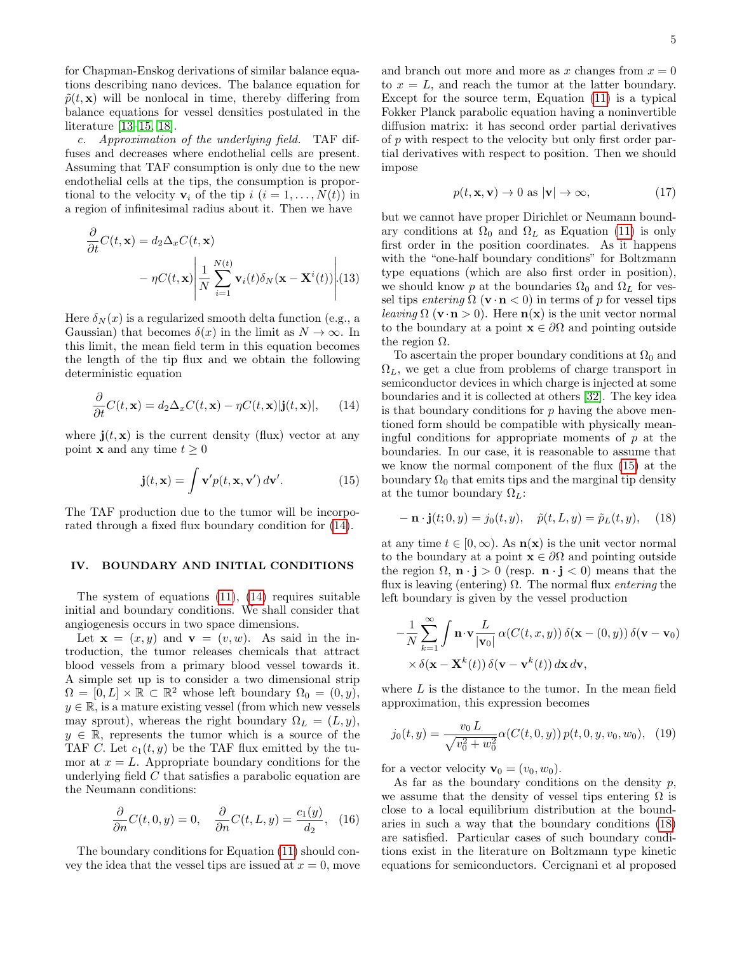for Chapman-Enskog derivations of similar balance equations describing nano devices. The balance equation for  $\tilde{p}(t, \mathbf{x})$  will be nonlocal in time, thereby differing from balance equations for vessel densities postulated in the literature [\[13–](#page-10-10)[15,](#page-10-21) [18\]](#page-10-20).

c. Approximation of the underlying field. TAF diffuses and decreases where endothelial cells are present. Assuming that TAF consumption is only due to the new endothelial cells at the tips, the consumption is proportional to the velocity  $\mathbf{v}_i$  of the tip  $i$   $(i = 1, \ldots, N(t))$  in a region of infinitesimal radius about it. Then we have

$$
\frac{\partial}{\partial t}C(t, \mathbf{x}) = d_2 \Delta_x C(t, \mathbf{x})
$$

$$
- \eta C(t, \mathbf{x}) \left| \frac{1}{N} \sum_{i=1}^{N(t)} \mathbf{v}_i(t) \delta_N(\mathbf{x} - \mathbf{X}^i(t)) \right| (13)
$$

Here  $\delta_N(x)$  is a regularized smooth delta function (e.g., a Gaussian) that becomes  $\delta(x)$  in the limit as  $N \to \infty$ . In this limit, the mean field term in this equation becomes the length of the tip flux and we obtain the following deterministic equation

<span id="page-4-1"></span>
$$
\frac{\partial}{\partial t}C(t, \mathbf{x}) = d_2 \Delta_x C(t, \mathbf{x}) - \eta C(t, \mathbf{x}) |\mathbf{j}(t, \mathbf{x})|, \qquad (14)
$$

where  $\mathbf{j}(t, \mathbf{x})$  is the current density (flux) vector at any point **x** and any time  $t \geq 0$ 

<span id="page-4-2"></span>
$$
\mathbf{j}(t, \mathbf{x}) = \int \mathbf{v}' p(t, \mathbf{x}, \mathbf{v}') d\mathbf{v}'. \tag{15}
$$

The TAF production due to the tumor will be incorporated through a fixed flux boundary condition for [\(14\)](#page-4-1).

#### <span id="page-4-0"></span>IV. BOUNDARY AND INITIAL CONDITIONS

The system of equations [\(11\)](#page-3-1), [\(14\)](#page-4-1) requires suitable initial and boundary conditions. We shall consider that angiogenesis occurs in two space dimensions.

Let  $\mathbf{x} = (x, y)$  and  $\mathbf{v} = (v, w)$ . As said in the introduction, the tumor releases chemicals that attract blood vessels from a primary blood vessel towards it. A simple set up is to consider a two dimensional strip  $\Omega = [\hat{0}, L] \times \mathbb{R} \subset \mathbb{R}^2$  whose left boundary  $\Omega_0 = (0, y),$  $y \in \mathbb{R}$ , is a mature existing vessel (from which new vessels may sprout), whereas the right boundary  $\Omega_L = (L, y)$ ,  $y \in \mathbb{R}$ , represents the tumor which is a source of the TAF C. Let  $c_1(t, y)$  be the TAF flux emitted by the tumor at  $x = L$ . Appropriate boundary conditions for the underlying field C that satisfies a parabolic equation are the Neumann conditions:

<span id="page-4-4"></span>
$$
\frac{\partial}{\partial n}C(t,0,y) = 0, \quad \frac{\partial}{\partial n}C(t,L,y) = \frac{c_1(y)}{d_2}, \quad (16)
$$

The boundary conditions for Equation [\(11\)](#page-3-1) should convey the idea that the vessel tips are issued at  $x = 0$ , move and branch out more and more as x changes from  $x = 0$ to  $x = L$ , and reach the tumor at the latter boundary. Except for the source term, Equation [\(11\)](#page-3-1) is a typical Fokker Planck parabolic equation having a noninvertible diffusion matrix: it has second order partial derivatives of p with respect to the velocity but only first order partial derivatives with respect to position. Then we should impose

$$
p(t, \mathbf{x}, \mathbf{v}) \to 0 \text{ as } |\mathbf{v}| \to \infty,
$$
 (17)

but we cannot have proper Dirichlet or Neumann boundary conditions at  $\Omega_0$  and  $\Omega_L$  as Equation [\(11\)](#page-3-1) is only first order in the position coordinates. As it happens with the "one-half boundary conditions" for Boltzmann type equations (which are also first order in position), we should know p at the boundaries  $\Omega_0$  and  $\Omega_L$  for vessel tips entering  $\Omega$  (**v** · **n** < 0) in terms of p for vessel tips leaving  $\Omega$  (**v**·**n** > 0). Here **n**(**x**) is the unit vector normal to the boundary at a point  $\mathbf{x} \in \partial\Omega$  and pointing outside the region  $\Omega$ .

To ascertain the proper boundary conditions at  $\Omega_0$  and  $\Omega_L$ , we get a clue from problems of charge transport in semiconductor devices in which charge is injected at some boundaries and it is collected at others [\[32\]](#page-11-3). The key idea is that boundary conditions for  $p$  having the above mentioned form should be compatible with physically meaningful conditions for appropriate moments of  $p$  at the boundaries. In our case, it is reasonable to assume that we know the normal component of the flux [\(15\)](#page-4-2) at the boundary  $\Omega_0$  that emits tips and the marginal tip density at the tumor boundary  $\Omega_L$ :

<span id="page-4-3"></span>
$$
-\mathbf{n} \cdot \mathbf{j}(t;0,y) = j_0(t,y), \quad \tilde{p}(t,L,y) = \tilde{p}_L(t,y), \quad (18)
$$

at any time  $t \in [0, \infty)$ . As  $\mathbf{n}(\mathbf{x})$  is the unit vector normal to the boundary at a point  $\mathbf{x} \in \partial\Omega$  and pointing outside the region  $\Omega$ ,  $\mathbf{n} \cdot \mathbf{j} > 0$  (resp.  $\mathbf{n} \cdot \mathbf{j} < 0$ ) means that the flux is leaving (entering)  $Ω$ . The normal flux *entering* the left boundary is given by the vessel production

<span id="page-4-5"></span>
$$
-\frac{1}{N}\sum_{k=1}^{\infty}\int \mathbf{n}\cdot\mathbf{v}\frac{L}{|\mathbf{v}_0|}\,\alpha(C(t,x,y))\,\delta(\mathbf{x}-(0,y))\,\delta(\mathbf{v}-\mathbf{v}_0)\times\delta(\mathbf{x}-\mathbf{X}^k(t))\,\delta(\mathbf{v}-\mathbf{v}^k(t))\,d\mathbf{x}\,d\mathbf{v},
$$

where  $L$  is the distance to the tumor. In the mean field approximation, this expression becomes

$$
j_0(t, y) = \frac{v_0 L}{\sqrt{v_0^2 + w_0^2}} \alpha(C(t, 0, y)) p(t, 0, y, v_0, w_0), \quad (19)
$$

for a vector velocity  $\mathbf{v}_0 = (v_0, w_0)$ .

As far as the boundary conditions on the density  $p$ , we assume that the density of vessel tips entering  $\Omega$  is close to a local equilibrium distribution at the boundaries in such a way that the boundary conditions [\(18\)](#page-4-3) are satisfied. Particular cases of such boundary conditions exist in the literature on Boltzmann type kinetic equations for semiconductors. Cercignani et al proposed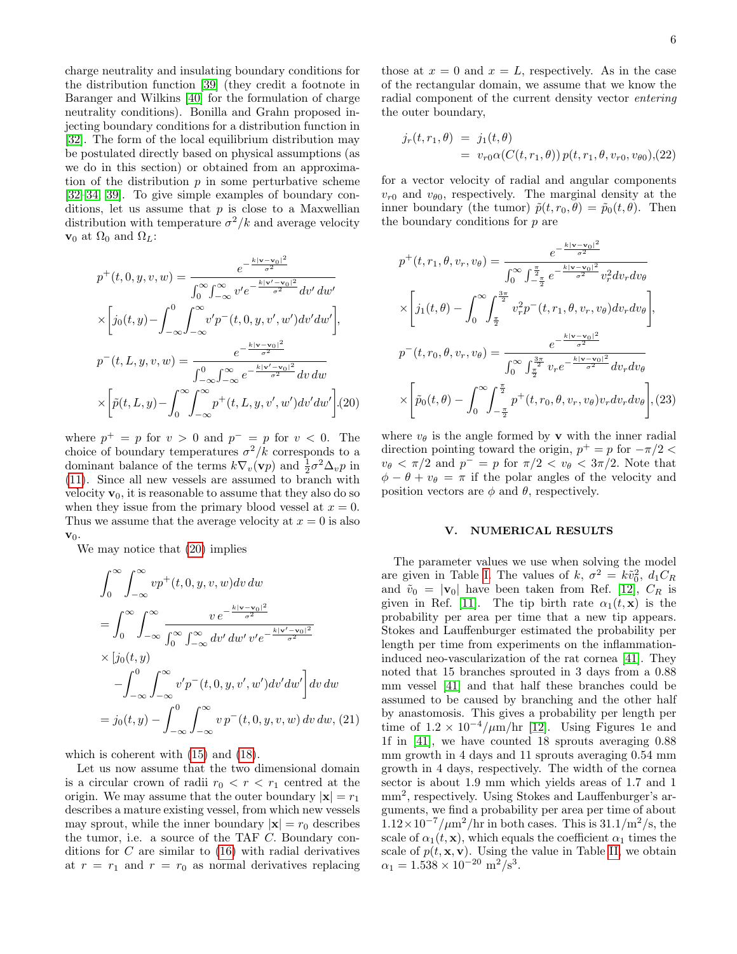charge neutrality and insulating boundary conditions for the distribution function [\[39\]](#page-11-9) (they credit a footnote in Baranger and Wilkins [\[40\]](#page-11-10) for the formulation of charge neutrality conditions). Bonilla and Grahn proposed injecting boundary conditions for a distribution function in [\[32\]](#page-11-3). The form of the local equilibrium distribution may be postulated directly based on physical assumptions (as we do in this section) or obtained from an approximation of the distribution  $p$  in some perturbative scheme [\[32–](#page-11-3)[34,](#page-11-4) [39\]](#page-11-9). To give simple examples of boundary conditions, let us assume that  $p$  is close to a Maxwellian distribution with temperature  $\sigma^2/k$  and average velocity  $\mathbf{v}_0$  at  $\Omega_0$  and  $\Omega_L$ :

<span id="page-5-1"></span>
$$
p^{+}(t, 0, y, v, w) = \frac{e^{-\frac{k|v-v_0|^2}{\sigma^2}}}{\int_0^{\infty} \int_{-\infty}^{\infty} v' e^{-\frac{k|v'-v_0|^2}{\sigma^2}} dv' dw'}
$$

$$
\times \left[ j_0(t, y) - \int_{-\infty}^0 \int_{-\infty}^{\infty} v' p^{-}(t, 0, y, v', w') dv' dw' \right],
$$

$$
p^{-}(t, L, y, v, w) = \frac{e^{-\frac{k|v-v_0|^2}{\sigma^2}}}{\int_{-\infty}^0 \int_{-\infty}^{\infty} e^{-\frac{k|v'-v_0|^2}{\sigma^2}} dv dw}
$$

$$
\times \left[ \tilde{p}(t, L, y) - \int_0^{\infty} \int_{-\infty}^{\infty} p^{+}(t, L, y, v', w') dv' dw' \right]. (20)
$$

where  $p^+ = p$  for  $v > 0$  and  $p^- = p$  for  $v < 0$ . The choice of boundary temperatures  $\sigma^2/k$  corresponds to a dominant balance of the terms  $k \nabla_v(\mathbf{v} p)$  and  $\frac{1}{2} \sigma^2 \Delta_v p$  in [\(11\)](#page-3-1). Since all new vessels are assumed to branch with velocity  $\mathbf{v}_0$ , it is reasonable to assume that they also do so when they issue from the primary blood vessel at  $x = 0$ . Thus we assume that the average velocity at  $x = 0$  is also  $\mathbf{v}_0$ .

We may notice that [\(20\)](#page-5-1) implies

$$
\int_0^\infty \int_{-\infty}^\infty v p^+(t, 0, y, v, w) dv dw
$$
  
= 
$$
\int_0^\infty \int_{-\infty}^\infty \frac{v e^{-\frac{k|\mathbf{v}-\mathbf{v}_0|^2}{\sigma^2}}}{\int_0^\infty \int_{-\infty}^\infty dv' dw' v' e^{-\frac{k|\mathbf{v}'-\mathbf{v}_0|^2}{\sigma^2}}}
$$
  

$$
\times \left[ j_0(t, y) \right]
$$

$$
- \int_{-\infty}^0 \int_{-\infty}^\infty v' p^-(t, 0, y, v', w') dv' dw' \right] dv dw
$$
  
= 
$$
j_0(t, y) - \int_{-\infty}^0 \int_{-\infty}^\infty v p^-(t, 0, y, v, w) dv dw, (21)
$$

which is coherent with [\(15\)](#page-4-2) and [\(18\)](#page-4-3).

Let us now assume that the two dimensional domain is a circular crown of radii  $r_0 < r < r_1$  centred at the origin. We may assume that the outer boundary  $|\mathbf{x}| = r_1$ describes a mature existing vessel, from which new vessels may sprout, while the inner boundary  $|\mathbf{x}| = r_0$  describes the tumor, i.e. a source of the TAF C. Boundary conditions for C are similar to [\(16\)](#page-4-4) with radial derivatives at  $r = r_1$  and  $r = r_0$  as normal derivatives replacing

those at  $x = 0$  and  $x = L$ , respectively. As in the case of the rectangular domain, we assume that we know the radial component of the current density vector entering the outer boundary,

$$
j_r(t, r_1, \theta) = j_1(t, \theta)
$$
  
=  $v_{r0} \alpha(C(t, r_1, \theta)) p(t, r_1, \theta, v_{r0}, v_{\theta 0}), (22)$ 

for a vector velocity of radial and angular components  $v_{r0}$  and  $v_{\theta 0}$ , respectively. The marginal density at the inner boundary (the tumor)  $\tilde{p}(t, r_0, \theta) = \tilde{p}_0(t, \theta)$ . Then the boundary conditions for p are

$$
p^{+}(t, r_{1}, \theta, v_{r}, v_{\theta}) = \frac{e^{-\frac{k|v-v_{0}|^{2}}{\sigma^{2}}}}{\int_{0}^{\infty} \int_{-\frac{\pi}{2}}^{\frac{\pi}{2}} e^{-\frac{k|v-v_{0}|^{2}}{\sigma^{2}}} v_{r}^{2} dv_{r} dv_{\theta}} \times \left[ j_{1}(t, \theta) - \int_{0}^{\infty} \int_{\frac{\pi}{2}}^{\frac{3\pi}{2}} v_{r}^{2} p^{-}(t, r_{1}, \theta, v_{r}, v_{\theta}) dv_{r} dv_{\theta} \right],
$$

$$
p^{-}(t, r_{0}, \theta, v_{r}, v_{\theta}) = \frac{e^{-\frac{k|v-v_{0}|^{2}}{\sigma^{2}}}}{\int_{0}^{\infty} \int_{\frac{\pi}{2}}^{\frac{3\pi}{2}} v_{r} e^{-\frac{k|v-v_{0}|^{2}}{\sigma^{2}}} dv_{r} dv_{\theta}} \times \left[ \tilde{p}_{0}(t, \theta) - \int_{0}^{\infty} \int_{-\frac{\pi}{2}}^{\frac{\pi}{2}} p^{+}(t, r_{0}, \theta, v_{r}, v_{\theta}) v_{r} dv_{r} dv_{\theta} \right], (23)
$$

where  $v_{\theta}$  is the angle formed by **v** with the inner radial direction pointing toward the origin,  $p^+ = p$  for  $-\pi/2 <$  $v_{\theta} < \pi/2$  and  $p^{-} = p$  for  $\pi/2 < v_{\theta} < 3\pi/2$ . Note that  $\phi - \theta + v_{\theta} = \pi$  if the polar angles of the velocity and position vectors are  $\phi$  and  $\theta$ , respectively.

# <span id="page-5-0"></span>V. NUMERICAL RESULTS

The parameter values we use when solving the model are given in Table [I.](#page-6-0) The values of  $k, \sigma^2 = k\tilde{v}_0^2, d_1C_R$ and  $\tilde{v}_0 = |\mathbf{v}_0|$  have been taken from Ref. [\[12\]](#page-10-9),  $C_R$  is given in Ref. [\[11\]](#page-10-8). The tip birth rate  $\alpha_1(t, \mathbf{x})$  is the probability per area per time that a new tip appears. Stokes and Lauffenburger estimated the probability per length per time from experiments on the inflammationinduced neo-vascularization of the rat cornea [\[41\]](#page-11-11). They noted that 15 branches sprouted in 3 days from a 0.88 mm vessel [\[41\]](#page-11-11) and that half these branches could be assumed to be caused by branching and the other half by anastomosis. This gives a probability per length per time of  $1.2 \times 10^{-4} \mu m/hr$  [\[12\]](#page-10-9). Using Figures 1e and 1f in [\[41\]](#page-11-11), we have counted 18 sprouts averaging 0.88 mm growth in 4 days and 11 sprouts averaging 0.54 mm growth in 4 days, respectively. The width of the cornea sector is about 1.9 mm which yields areas of 1.7 and 1 mm<sup>2</sup> , respectively. Using Stokes and Lauffenburger's arguments, we find a probability per area per time of about  $1.12\times10^{-7}/\mu m^2/hr$  in both cases. This is  $31.1/m^2/s$ , the scale of  $\alpha_1(t, \mathbf{x})$ , which equals the coefficient  $\alpha_1$  times the scale of  $p(t, \mathbf{x}, \mathbf{v})$ . Using the value in Table [II,](#page-6-1) we obtain  $\alpha_1 = 1.538 \times 10^{-20} \text{ m}^2/\text{s}^3.$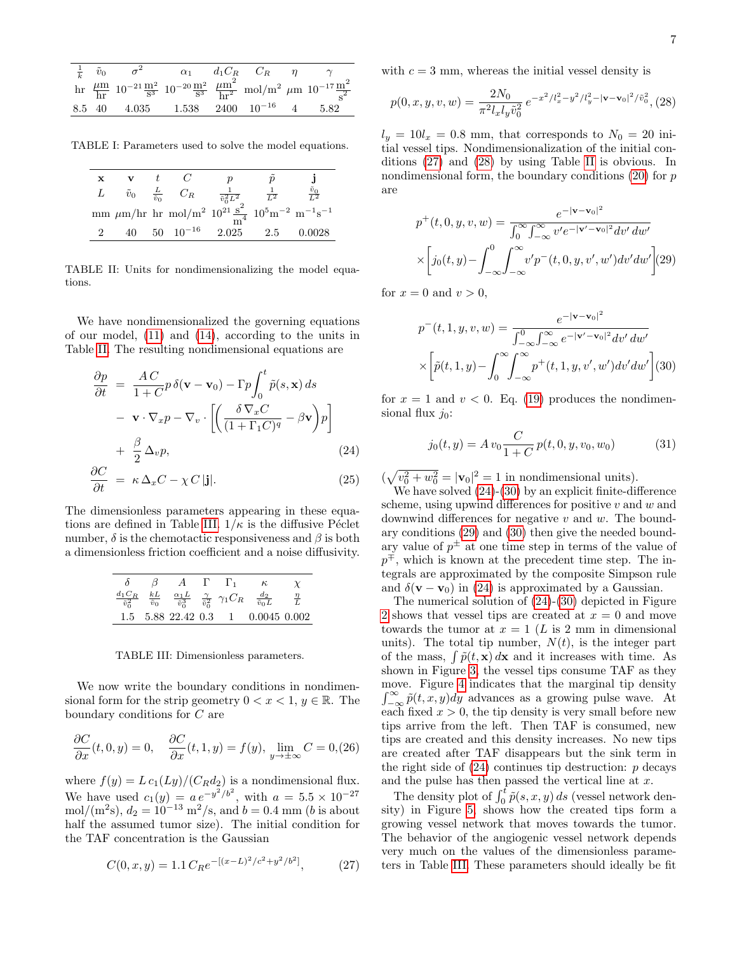|  | $\frac{1}{k}$ $\tilde{v}_0$ $\sigma^2$                                                                                                                    |  | $\alpha_1$ $d_1C_R$ $C_R$ $\eta$ |  |
|--|-----------------------------------------------------------------------------------------------------------------------------------------------------------|--|----------------------------------|--|
|  | $\ln \frac{\mu m}{hr}$ $10^{-21} \frac{m^2}{s^3}$ $10^{-20} \frac{m^2}{s^3}$ $\frac{\mu m^2}{hr^2}$ mol/m <sup>2</sup> $\mu$ m $10^{-17} \frac{m^2}{s^2}$ |  |                                  |  |
|  | 8.5 40 4.035 1.538 2400 $10^{-16}$ 4 5.82                                                                                                                 |  |                                  |  |

TABLE I: Parameters used to solve the model equations.

<span id="page-6-0"></span>

| $\mathbf x$ |               |                       |                                                                                                             |                               |                  |                           |
|-------------|---------------|-----------------------|-------------------------------------------------------------------------------------------------------------|-------------------------------|------------------|---------------------------|
|             | $\tilde{v}_0$ | $rac{L}{\tilde{v}_0}$ | $C_R$                                                                                                       | $\overline{\tilde{v}_0^2L^2}$ | $\overline{L^2}$ | $\frac{\tilde{v}_0}{L^2}$ |
|             |               |                       | mm $\mu$ m/hr hr mol/m <sup>2</sup> $10^{21} \frac{s^2}{m^4}$ $10^5 m^{-2}$ m <sup>-1</sup> s <sup>-1</sup> |                               |                  |                           |
|             | 40            |                       | $50 \t10^{-16}$                                                                                             | 2.025                         | 2.5              | 0.0028                    |

<span id="page-6-1"></span>TABLE II: Units for nondimensionalizing the model equations.

We have nondimensionalized the governing equations of our model, [\(11\)](#page-3-1) and [\(14\)](#page-4-1), according to the units in Table [II.](#page-6-1) The resulting nondimensional equations are

<span id="page-6-5"></span>
$$
\frac{\partial p}{\partial t} = \frac{AC}{1+C} p \delta(\mathbf{v} - \mathbf{v}_0) - \Gamma p \int_0^t \tilde{p}(s, \mathbf{x}) ds \n- \mathbf{v} \cdot \nabla_x p - \nabla_v \cdot \left[ \left( \frac{\delta \nabla_x C}{(1 + \Gamma_1 C)^q} - \beta \mathbf{v} \right) p \right] \n+ \frac{\beta}{2} \Delta_v p,
$$
\n(24)

$$
\frac{\partial C}{\partial t} = \kappa \Delta_x C - \chi C |\mathbf{j}|. \tag{25}
$$

The dimensionless parameters appearing in these equa-tions are defined in Table [III.](#page-6-2)  $1/\kappa$  is the diffusive Péclet number,  $\delta$  is the chemotactic responsiveness and  $\beta$  is both a dimensionless friction coefficient and a noise diffusivity.

| $\frac{d_1C_R}{\tilde{v}_0^2}$ |                | $\frac{kL}{\tilde{v}_0}$ $\frac{\alpha_1 L}{\tilde{v}_0^3}$ $\frac{\gamma}{\tilde{v}_0^2}$ $\gamma_1 C_R$ | $rac{d_2}{\tilde{v}_0 L}$ |  |
|--------------------------------|----------------|-----------------------------------------------------------------------------------------------------------|---------------------------|--|
| 1.5                            | 5.88 22.42 0.3 | $\sim$ 1                                                                                                  | 0.0045 0.002              |  |

<span id="page-6-2"></span>TABLE III: Dimensionless parameters.

We now write the boundary conditions in nondimensional form for the strip geometry  $0 < x < 1, y \in \mathbb{R}$ . The boundary conditions for C are

$$
\frac{\partial C}{\partial x}(t,0,y) = 0, \quad \frac{\partial C}{\partial x}(t,1,y) = f(y), \lim_{y \to \pm \infty} C = 0, (26)
$$

where  $f(y) = L c_1(Ly)/(C_R d_2)$  is a nondimensional flux. We have used  $c_1(y) = a e^{-y^2/b^2}$ , with  $a = 5.5 \times 10^{-27}$ mol/(m<sup>2</sup>s),  $d_2 = 10^{-13}$  m<sup>2</sup>/s, and  $b = 0.4$  mm (b is about half the assumed tumor size). The initial condition for the TAF concentration is the Gaussian

<span id="page-6-3"></span>
$$
C(0, x, y) = 1.1 C_R e^{-[(x - L)^2/c^2 + y^2/b^2]}, \qquad (27)
$$

with  $c = 3$  mm, whereas the initial vessel density is

<span id="page-6-4"></span>
$$
p(0, x, y, v, w) = \frac{2N_0}{\pi^2 l_x l_y \tilde{v}_0^2} e^{-x^2/l_x^2 - y^2/l_y^2 - |\mathbf{v} - \mathbf{v}_0|^2/\tilde{v}_0^2}, (28)
$$

 $l_y = 10l_x = 0.8$  mm, that corresponds to  $N_0 = 20$  initial vessel tips. Nondimensionalization of the initial conditions [\(27\)](#page-6-3) and [\(28\)](#page-6-4) by using Table [II](#page-6-1) is obvious. In nondimensional form, the boundary conditions  $(20)$  for p are

<span id="page-6-7"></span>
$$
p^{+}(t, 0, y, v, w) = \frac{e^{-|\mathbf{v} - \mathbf{v}_0|^2}}{\int_0^{\infty} \int_{-\infty}^{\infty} v' e^{-|\mathbf{v}' - \mathbf{v}_0|^2} dv' dw'}
$$

$$
\times \left[ j_0(t, y) - \int_{-\infty}^0 \int_{-\infty}^{\infty} v' p^{-}(t, 0, y, v', w') dv' dw' \right](29)
$$

for  $x = 0$  and  $v > 0$ ,

<span id="page-6-6"></span>
$$
p^{-}(t, 1, y, v, w) = \frac{e^{-|\mathbf{v} - \mathbf{v}_{0}|^{2}}}{\int_{-\infty}^{0} \int_{-\infty}^{\infty} e^{-|\mathbf{v}' - \mathbf{v}_{0}|^{2}} dv' dw'}
$$

$$
\times \left[ \tilde{p}(t, 1, y) - \int_{0}^{\infty} \int_{-\infty}^{\infty} p^{+}(t, 1, y, v', w') dv' dw' \right] (30)
$$

for  $x = 1$  and  $v < 0$ . Eq. [\(19\)](#page-4-5) produces the nondimensional flux  $i_0$ :

<span id="page-6-8"></span>
$$
j_0(t, y) = A v_0 \frac{C}{1 + C} p(t, 0, y, v_0, w_0)
$$
 (31)

 $(\sqrt{v_0^2 + w_0^2} = |\mathbf{v}_0|^2 = 1$  in nondimensional units).

We have solved [\(24\)](#page-6-5)-[\(30\)](#page-6-6) by an explicit finite-difference scheme, using upwind differences for positive  $v$  and  $w$  and downwind differences for negative  $v$  and  $w$ . The boundary conditions [\(29\)](#page-6-7) and [\(30\)](#page-6-6) then give the needed boundary value of  $p^{\pm}$  at one time step in terms of the value of  $p^{\mp}$ , which is known at the precedent time step. The integrals are approximated by the composite Simpson rule and  $\delta(\mathbf{v}-\mathbf{v}_0)$  in [\(24\)](#page-6-5) is approximated by a Gaussian.

The numerical solution of [\(24\)](#page-6-5)-[\(30\)](#page-6-6) depicted in Figure [2](#page-7-1) shows that vessel tips are created at  $x = 0$  and move towards the tumor at  $x = 1$  (L is 2 mm in dimensional units). The total tip number,  $N(t)$ , is the integer part of the mass,  $\int \tilde{p}(t, \mathbf{x}) d\mathbf{x}$  and it increases with time. As shown in Figure [3,](#page-7-2) the vessel tips consume TAF as they move. Figure [4](#page-8-1) indicates that the marginal tip density  $\int_{-\infty}^{\infty} \tilde{p}(t, x, y) dy$  advances as a growing pulse wave. At each fixed  $x > 0$ , the tip density is very small before new tips arrive from the left. Then TAF is consumed, new tips are created and this density increases. No new tips are created after TAF disappears but the sink term in the right side of  $(24)$  continues tip destruction:  $p$  decays and the pulse has then passed the vertical line at  $x$ .

The density plot of  $\int_0^t \tilde{p}(s, x, y) ds$  (vessel network density) in Figure [5,](#page-8-2) shows how the created tips form a growing vessel network that moves towards the tumor. The behavior of the angiogenic vessel network depends very much on the values of the dimensionless parameters in Table [III.](#page-6-2) These parameters should ideally be fit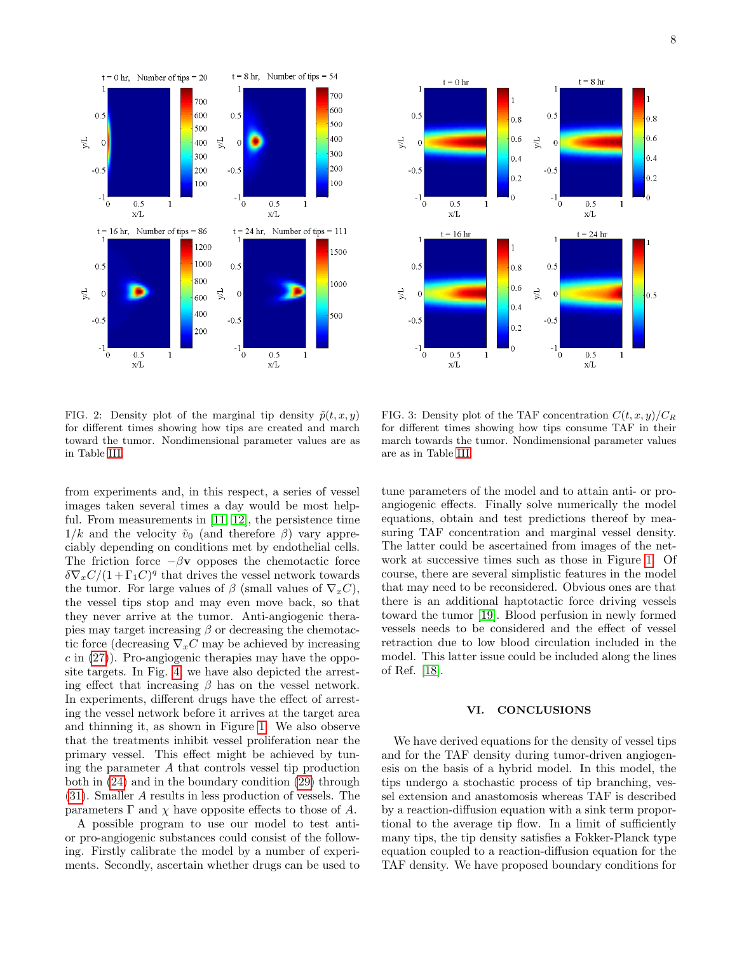



<span id="page-7-1"></span>FIG. 2: Density plot of the marginal tip density  $\tilde{p}(t, x, y)$ for different times showing how tips are created and march toward the tumor. Nondimensional parameter values are as in Table [III.](#page-6-2)

from experiments and, in this respect, a series of vessel images taken several times a day would be most helpful. From measurements in [\[11,](#page-10-8) [12\]](#page-10-9), the persistence time  $1/k$  and the velocity  $\tilde{v}_0$  (and therefore  $\beta$ ) vary appreciably depending on conditions met by endothelial cells. The friction force  $-\beta \mathbf{v}$  opposes the chemotactic force  $\delta \nabla_x C/(1+\Gamma_1 C)^q$  that drives the vessel network towards the tumor. For large values of  $\beta$  (small values of  $\nabla_x C$ ), the vessel tips stop and may even move back, so that they never arrive at the tumor. Anti-angiogenic therapies may target increasing  $\beta$  or decreasing the chemotactic force (decreasing  $\nabla_x C$  may be achieved by increasing  $c$  in  $(27)$ ). Pro-angiogenic therapies may have the opposite targets. In Fig. [4,](#page-8-1) we have also depicted the arresting effect that increasing  $\beta$  has on the vessel network. In experiments, different drugs have the effect of arresting the vessel network before it arrives at the target area and thinning it, as shown in Figure [1.](#page-0-0) We also observe that the treatments inhibit vessel proliferation near the primary vessel. This effect might be achieved by tuning the parameter A that controls vessel tip production both in [\(24\)](#page-6-5) and in the boundary condition [\(29\)](#page-6-7) through [\(31\)](#page-6-8). Smaller A results in less production of vessels. The parameters  $\Gamma$  and  $\chi$  have opposite effects to those of A.

A possible program to use our model to test antior pro-angiogenic substances could consist of the following. Firstly calibrate the model by a number of experiments. Secondly, ascertain whether drugs can be used to

<span id="page-7-2"></span>FIG. 3: Density plot of the TAF concentration  $C(t, x, y)/C_R$ for different times showing how tips consume TAF in their march towards the tumor. Nondimensional parameter values are as in Table [III.](#page-6-2)

tune parameters of the model and to attain anti- or proangiogenic effects. Finally solve numerically the model equations, obtain and test predictions thereof by measuring TAF concentration and marginal vessel density. The latter could be ascertained from images of the network at successive times such as those in Figure [1.](#page-0-0) Of course, there are several simplistic features in the model that may need to be reconsidered. Obvious ones are that there is an additional haptotactic force driving vessels toward the tumor [\[19\]](#page-10-13). Blood perfusion in newly formed vessels needs to be considered and the effect of vessel retraction due to low blood circulation included in the model. This latter issue could be included along the lines of Ref. [\[18\]](#page-10-20).

# <span id="page-7-0"></span>VI. CONCLUSIONS

We have derived equations for the density of vessel tips and for the TAF density during tumor-driven angiogenesis on the basis of a hybrid model. In this model, the tips undergo a stochastic process of tip branching, vessel extension and anastomosis whereas TAF is described by a reaction-diffusion equation with a sink term proportional to the average tip flow. In a limit of sufficiently many tips, the tip density satisfies a Fokker-Planck type equation coupled to a reaction-diffusion equation for the TAF density. We have proposed boundary conditions for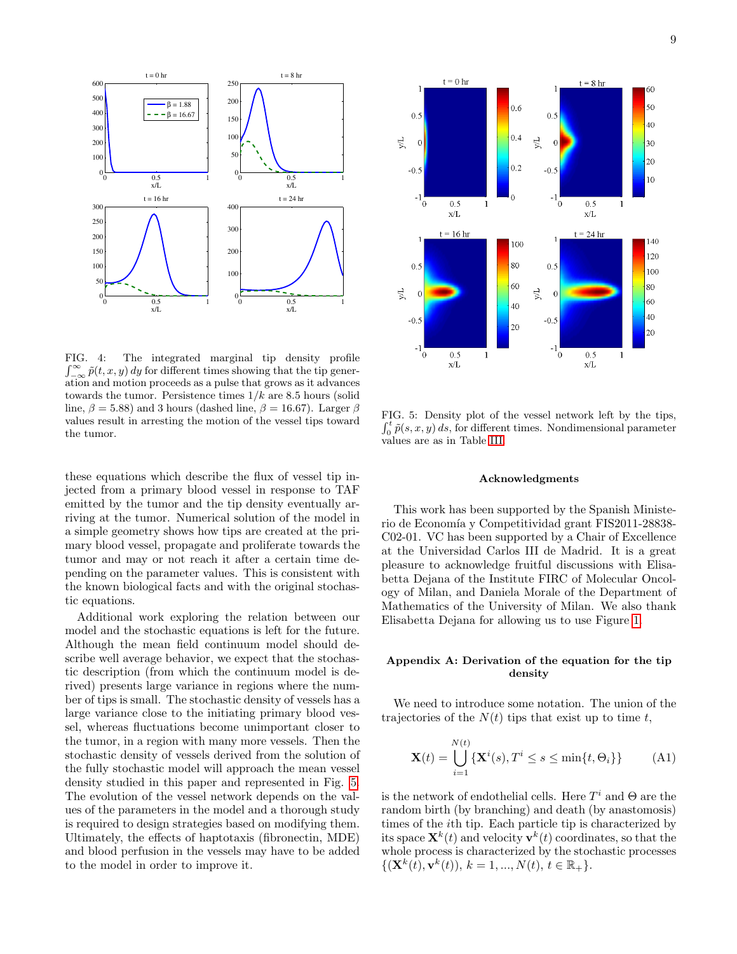

<span id="page-8-1"></span>FIG. 4: The integrated marginal tip density profile  $\int_{-\infty}^{\infty} \tilde{p}(t, x, y) dy$  for different times showing that the tip generation and motion proceeds as a pulse that grows as it advances towards the tumor. Persistence times  $1/k$  are 8.5 hours (solid line,  $\beta = 5.88$ ) and 3 hours (dashed line,  $\beta = 16.67$ ). Larger  $\beta$ values result in arresting the motion of the vessel tips toward the tumor.

these equations which describe the flux of vessel tip injected from a primary blood vessel in response to TAF emitted by the tumor and the tip density eventually arriving at the tumor. Numerical solution of the model in a simple geometry shows how tips are created at the primary blood vessel, propagate and proliferate towards the tumor and may or not reach it after a certain time depending on the parameter values. This is consistent with the known biological facts and with the original stochastic equations.

Additional work exploring the relation between our model and the stochastic equations is left for the future. Although the mean field continuum model should describe well average behavior, we expect that the stochastic description (from which the continuum model is derived) presents large variance in regions where the number of tips is small. The stochastic density of vessels has a large variance close to the initiating primary blood vessel, whereas fluctuations become unimportant closer to the tumor, in a region with many more vessels. Then the stochastic density of vessels derived from the solution of the fully stochastic model will approach the mean vessel density studied in this paper and represented in Fig. [5.](#page-8-2) The evolution of the vessel network depends on the values of the parameters in the model and a thorough study is required to design strategies based on modifying them. Ultimately, the effects of haptotaxis (fibronectin, MDE) and blood perfusion in the vessels may have to be added to the model in order to improve it.



<span id="page-8-2"></span>FIG. 5: Density plot of the vessel network left by the tips,  $\int_0^t \tilde{p}(s, x, y) ds$ , for different times. Nondimensional parameter values are as in Table [III.](#page-6-2)

#### Acknowledgments

This work has been supported by the Spanish Ministerio de Economía y Competitividad grant FIS2011-28838-C02-01. VC has been supported by a Chair of Excellence at the Universidad Carlos III de Madrid. It is a great pleasure to acknowledge fruitful discussions with Elisabetta Dejana of the Institute FIRC of Molecular Oncology of Milan, and Daniela Morale of the Department of Mathematics of the University of Milan. We also thank Elisabetta Dejana for allowing us to use Figure [1.](#page-0-0)

# <span id="page-8-0"></span>Appendix A: Derivation of the equation for the tip density

We need to introduce some notation. The union of the trajectories of the  $N(t)$  tips that exist up to time t,

<span id="page-8-3"></span>
$$
\mathbf{X}(t) = \bigcup_{i=1}^{N(t)} \{ \mathbf{X}^i(s), T^i \le s \le \min\{t, \Theta_i\} \} \tag{A1}
$$

is the network of endothelial cells. Here  $T^i$  and  $\Theta$  are the random birth (by branching) and death (by anastomosis) times of the ith tip. Each particle tip is characterized by its space  $\mathbf{X}^k(t)$  and velocity  $\mathbf{v}^k(t)$  coordinates, so that the whole process is characterized by the stochastic processes  $\{(\mathbf{X}^k(\tilde{t}), \mathbf{v}^k(t)), k = 1, ..., N(t), t \in \mathbb{R}_+\}.$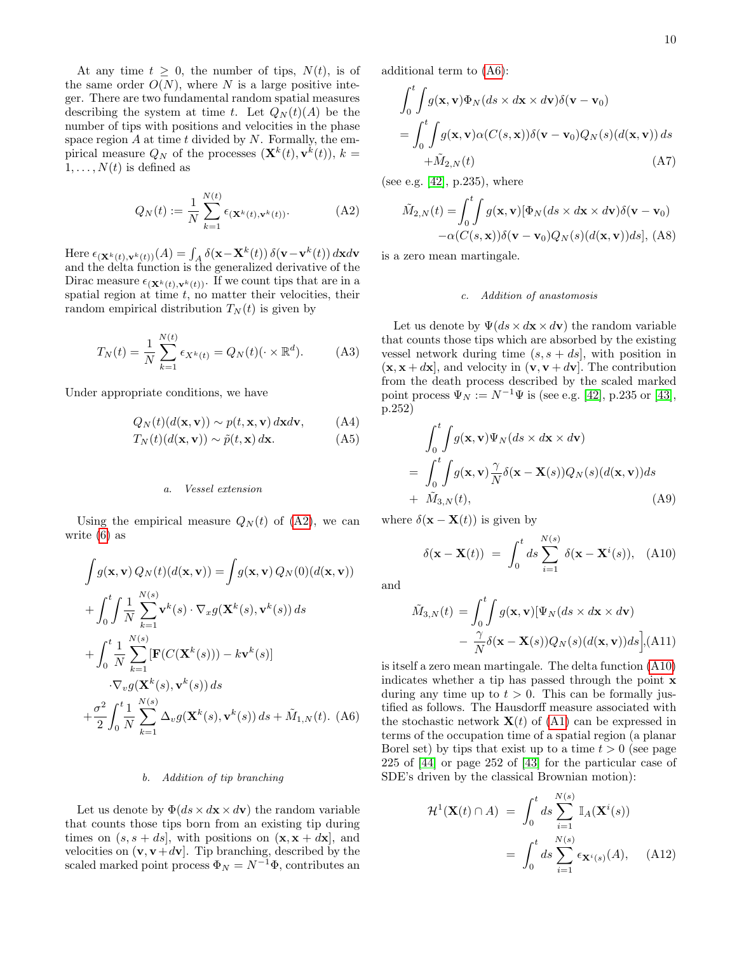At any time  $t \geq 0$ , the number of tips,  $N(t)$ , is of the same order  $O(N)$ , where N is a large positive integer. There are two fundamental random spatial measures describing the system at time t. Let  $Q_N(t)(A)$  be the number of tips with positions and velocities in the phase space region  $A$  at time  $t$  divided by  $N$ . Formally, the empirical measure  $Q_N$  of the processes  $(\mathbf{X}^k(t), \mathbf{v}^k(t)), k =$  $1, \ldots, N(t)$  is defined as

<span id="page-9-0"></span>
$$
Q_N(t) := \frac{1}{N} \sum_{k=1}^{N(t)} \epsilon_{(\mathbf{X}^k(t), \mathbf{v}^k(t))}.
$$
 (A2)

Here  $\epsilon_{(\mathbf{X}^k(t),\mathbf{v}^k(t))}(A) = \int_A \delta(\mathbf{x}-\mathbf{X}^k(t)) \, \delta(\mathbf{v}-\mathbf{v}^k(t)) \, d\mathbf{x} d\mathbf{v}$ and the delta function is the generalized derivative of the Dirac measure  $\epsilon_{(\mathbf{X}^k(t),\mathbf{v}^k(t))}$ . If we count tips that are in a spatial region at time  $t$ , no matter their velocities, their random empirical distribution  $T_N(t)$  is given by

$$
T_N(t) = \frac{1}{N} \sum_{k=1}^{N(t)} \epsilon_{X^k(t)} = Q_N(t) (\cdot \times \mathbb{R}^d).
$$
 (A3)

Under appropriate conditions, we have

<span id="page-9-8"></span>
$$
Q_N(t)(d(\mathbf{x}, \mathbf{v})) \sim p(t, \mathbf{x}, \mathbf{v}) \, d\mathbf{x} d\mathbf{v}, \tag{A4}
$$

$$
T_N(t)(d(\mathbf{x}, \mathbf{v})) \sim \tilde{p}(t, \mathbf{x}) d\mathbf{x}.
$$
 (A5)

#### a. Vessel extension

Using the empirical measure  $Q_N(t)$  of [\(A2\)](#page-9-0), we can write [\(6\)](#page-3-0) as

<span id="page-9-1"></span>
$$
\int g(\mathbf{x}, \mathbf{v}) Q_N(t) (d(\mathbf{x}, \mathbf{v})) = \int g(\mathbf{x}, \mathbf{v}) Q_N(0) (d(\mathbf{x}, \mathbf{v}))
$$
  
+ 
$$
\int_0^t \int \frac{1}{N} \sum_{k=1}^{N(s)} \mathbf{v}^k(s) \cdot \nabla_x g(\mathbf{X}^k(s), \mathbf{v}^k(s)) ds
$$
  
+ 
$$
\int_0^t \frac{1}{N} \sum_{k=1}^{N(s)} [\mathbf{F}(C(\mathbf{X}^k(s))) - k \mathbf{v}^k(s)]
$$
  

$$
\cdot \nabla_v g(\mathbf{X}^k(s), \mathbf{v}^k(s)) ds
$$
  
+ 
$$
\frac{\sigma^2}{2} \int_0^t \frac{1}{N} \sum_{k=1}^{N(s)} \Delta_v g(\mathbf{X}^k(s), \mathbf{v}^k(s)) ds + \tilde{M}_{1,N}(t). \text{ (A6)}
$$

#### b. Addition of tip branching

Let us denote by  $\Phi(ds \times d\mathbf{x} \times d\mathbf{v})$  the random variable that counts those tips born from an existing tip during times on  $(s, s + ds]$ , with positions on  $(\mathbf{x}, \mathbf{x} + d\mathbf{x})$ , and velocities on  $(v, v+dv)$ . Tip branching, described by the scaled marked point process  $\Phi_N = N^{-1}\Phi$ , contributes an

additional term to [\(A6\)](#page-9-1):

<span id="page-9-6"></span>
$$
\int_0^t \int g(\mathbf{x}, \mathbf{v}) \Phi_N(ds \times d\mathbf{x} \times d\mathbf{v}) \delta(\mathbf{v} - \mathbf{v}_0)
$$
  
= 
$$
\int_0^t \int g(\mathbf{x}, \mathbf{v}) \alpha(C(s, \mathbf{x})) \delta(\mathbf{v} - \mathbf{v}_0) Q_N(s) (d(\mathbf{x}, \mathbf{v})) ds
$$
  
+ 
$$
\tilde{M}_{2,N}(t) \tag{A7}
$$

(see e.g. [\[42\]](#page-11-12), p.235), where

<span id="page-9-7"></span>
$$
\tilde{M}_{2,N}(t) = \int_0^t \int g(\mathbf{x}, \mathbf{v}) [\Phi_N(ds \times d\mathbf{x} \times d\mathbf{v}) \delta(\mathbf{v} - \mathbf{v}_0) \n- \alpha(C(s, \mathbf{x})) \delta(\mathbf{v} - \mathbf{v}_0) Q_N(s) (d(\mathbf{x}, \mathbf{v})) ds], \text{ (A8)}
$$

is a zero mean martingale.

### c. Addition of anastomosis

Let us denote by  $\Psi(ds \times d\mathbf{x} \times d\mathbf{v})$  the random variable that counts those tips which are absorbed by the existing vessel network during time  $(s, s + ds)$ , with position in  $(\mathbf{x}, \mathbf{x} + d\mathbf{x}]$ , and velocity in  $(\mathbf{v}, \mathbf{v} + d\mathbf{v})$ . The contribution from the death process described by the scaled marked point process  $\Psi_N := N^{-1} \Psi$  is (see e.g. [\[42\]](#page-11-12), p.235 or [\[43\]](#page-11-13), p.252)

<span id="page-9-4"></span>
$$
\int_0^t \int g(\mathbf{x}, \mathbf{v}) \Psi_N(ds \times d\mathbf{x} \times d\mathbf{v})
$$
\n
$$
= \int_0^t \int g(\mathbf{x}, \mathbf{v}) \frac{\gamma}{N} \delta(\mathbf{x} - \mathbf{X}(s)) Q_N(s) (d(\mathbf{x}, \mathbf{v})) ds
$$
\n
$$
+ \tilde{M}_{3,N}(t),
$$
\n(A9)

where  $\delta(\mathbf{x} - \mathbf{X}(t))$  is given by

<span id="page-9-2"></span>
$$
\delta(\mathbf{x} - \mathbf{X}(t)) = \int_0^t ds \sum_{i=1}^{N(s)} \delta(\mathbf{x} - \mathbf{X}^i(s)), \quad \text{(A10)}
$$

and

<span id="page-9-5"></span>
$$
\tilde{M}_{3,N}(t) = \int_0^t \int g(\mathbf{x}, \mathbf{v}) [\Psi_N(ds \times d\mathbf{x} \times d\mathbf{v}) \n- \frac{\gamma}{N} \delta(\mathbf{x} - \mathbf{X}(s)) Q_N(s) (d(\mathbf{x}, \mathbf{v})) ds],
$$
(A11)

is itself a zero mean martingale. The delta function [\(A10\)](#page-9-2) indicates whether a tip has passed through the point x during any time up to  $t > 0$ . This can be formally justified as follows. The Hausdorff measure associated with the stochastic network  $X(t)$  of  $(A1)$  can be expressed in terms of the occupation time of a spatial region (a planar Borel set) by tips that exist up to a time  $t > 0$  (see page 225 of [\[44\]](#page-11-14) or page 252 of [\[43\]](#page-11-13) for the particular case of SDE's driven by the classical Brownian motion):

<span id="page-9-3"></span>
$$
\mathcal{H}^{1}(\mathbf{X}(t) \cap A) = \int_{0}^{t} ds \sum_{i=1}^{N(s)} \mathbb{I}_{A}(\mathbf{X}^{i}(s))
$$

$$
= \int_{0}^{t} ds \sum_{i=1}^{N(s)} \epsilon_{\mathbf{X}^{i}(s)}(A), \quad (A12)
$$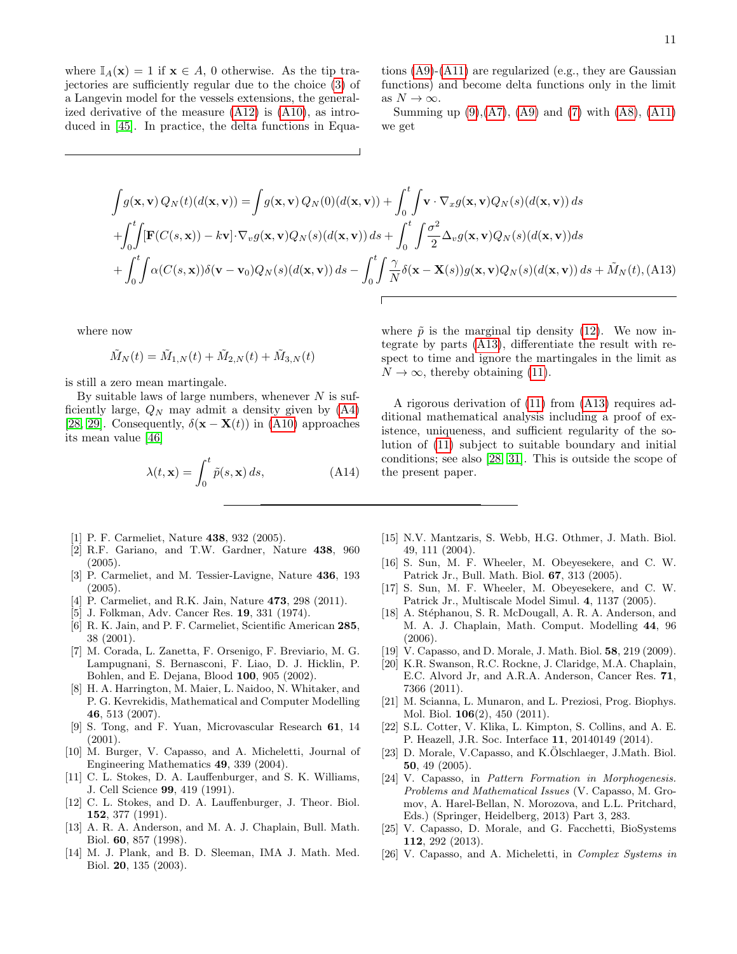where  $\mathbb{I}_A(\mathbf{x}) = 1$  if  $\mathbf{x} \in A$ , 0 otherwise. As the tip trajectories are sufficiently regular due to the choice [\(3\)](#page-2-2) of a Langevin model for the vessels extensions, the generalized derivative of the measure [\(A12\)](#page-9-3) is [\(A10\)](#page-9-2), as introduced in [\[45\]](#page-11-15). In practice, the delta functions in Equa-

Summing up  $(9)$ ,  $(A7)$ ,  $(A9)$  and  $(7)$  with  $(A8)$ ,  $(A11)$ we get

<span id="page-10-22"></span>
$$
\int g(\mathbf{x}, \mathbf{v}) Q_N(t) (d(\mathbf{x}, \mathbf{v})) = \int g(\mathbf{x}, \mathbf{v}) Q_N(0) (d(\mathbf{x}, \mathbf{v})) + \int_0^t \int \mathbf{v} \cdot \nabla_x g(\mathbf{x}, \mathbf{v}) Q_N(s) (d(\mathbf{x}, \mathbf{v})) ds \n+ \int_0^t \int [\mathbf{F}(C(s, \mathbf{x})) - k\mathbf{v}] \cdot \nabla_v g(\mathbf{x}, \mathbf{v}) Q_N(s) (d(\mathbf{x}, \mathbf{v})) ds + \int_0^t \int \frac{\sigma^2}{2} \Delta_v g(\mathbf{x}, \mathbf{v}) Q_N(s) (d(\mathbf{x}, \mathbf{v})) ds \n+ \int_0^t \int \alpha(C(s, \mathbf{x})) \delta(\mathbf{v} - \mathbf{v}_0) Q_N(s) (d(\mathbf{x}, \mathbf{v})) ds - \int_0^t \int \frac{\gamma}{N} \delta(\mathbf{x} - \mathbf{X}(s)) g(\mathbf{x}, \mathbf{v}) Q_N(s) (d(\mathbf{x}, \mathbf{v})) ds + \tilde{M}_N(t), \text{(A13)}
$$

where now

$$
\tilde{M}_N(t) = \tilde{M}_{1,N}(t) + \tilde{M}_{2,N}(t) + \tilde{M}_{3,N}(t)
$$

is still a zero mean martingale.

By suitable laws of large numbers, whenever  $N$  is sufficiently large,  $Q_N$  may admit a density given by  $(A4)$ [\[28,](#page-11-1) [29\]](#page-11-16). Consequently,  $\delta(\mathbf{x} - \mathbf{X}(t))$  in [\(A10\)](#page-9-2) approaches its mean value [\[46\]](#page-11-17)

$$
\lambda(t, \mathbf{x}) = \int_0^t \tilde{p}(s, \mathbf{x}) \, ds,\tag{A14}
$$

- <span id="page-10-0"></span>[1] P. F. Carmeliet, Nature 438, 932 (2005).
- <span id="page-10-1"></span>[2] R.F. Gariano, and T.W. Gardner, Nature 438, 960 (2005).
- [3] P. Carmeliet, and M. Tessier-Lavigne, Nature 436, 193 (2005).
- <span id="page-10-2"></span>[4] P. Carmeliet, and R.K. Jain, Nature **473**, 298 (2011).
- <span id="page-10-3"></span>[5] J. Folkman, Adv. Cancer Res. 19, 331 (1974).
- [6] R. K. Jain, and P. F. Carmeliet, Scientific American 285, 38 (2001).
- <span id="page-10-4"></span>[7] M. Corada, L. Zanetta, F. Orsenigo, F. Breviario, M. G. Lampugnani, S. Bernasconi, F. Liao, D. J. Hicklin, P. Bohlen, and E. Dejana, Blood 100, 905 (2002).
- <span id="page-10-5"></span>[8] H. A. Harrington, M. Maier, L. Naidoo, N. Whitaker, and P. G. Kevrekidis, Mathematical and Computer Modelling 46, 513 (2007).
- <span id="page-10-6"></span>[9] S. Tong, and F. Yuan, Microvascular Research 61, 14 (2001).
- <span id="page-10-7"></span>[10] M. Burger, V. Capasso, and A. Micheletti, Journal of Engineering Mathematics 49, 339 (2004).
- <span id="page-10-8"></span>[11] C. L. Stokes, D. A. Lauffenburger, and S. K. Williams, J. Cell Science 99, 419 (1991).
- <span id="page-10-9"></span>[12] C. L. Stokes, and D. A. Lauffenburger, J. Theor. Biol. 152, 377 (1991).
- <span id="page-10-10"></span>[13] A. R. A. Anderson, and M. A. J. Chaplain, Bull. Math. Biol. 60, 857 (1998).
- <span id="page-10-18"></span>[14] M. J. Plank, and B. D. Sleeman, IMA J. Math. Med. Biol. 20, 135 (2003).

where  $\tilde{p}$  is the marginal tip density [\(12\)](#page-3-4). We now integrate by parts [\(A13\)](#page-10-22), differentiate the result with respect to time and ignore the martingales in the limit as  $N \to \infty$ , thereby obtaining [\(11\)](#page-3-1).

A rigorous derivation of [\(11\)](#page-3-1) from [\(A13\)](#page-10-22) requires additional mathematical analysis including a proof of existence, uniqueness, and sufficient regularity of the solution of [\(11\)](#page-3-1) subject to suitable boundary and initial conditions; see also [\[28,](#page-11-1) [31\]](#page-11-2). This is outside the scope of the present paper.

- <span id="page-10-21"></span>[15] N.V. Mantzaris, S. Webb, H.G. Othmer, J. Math. Biol. 49, 111 (2004).
- [16] S. Sun, M. F. Wheeler, M. Obeyesekere, and C. W. Patrick Jr., Bull. Math. Biol. 67, 313 (2005).
- <span id="page-10-19"></span>[17] S. Sun, M. F. Wheeler, M. Obeyesekere, and C. W. Patrick Jr., Multiscale Model Simul. 4, 1137 (2005).
- <span id="page-10-20"></span>[18] A. Stéphanou, S. R. McDougall, A. R. A. Anderson, and M. A. J. Chaplain, Math. Comput. Modelling 44, 96 (2006).
- <span id="page-10-13"></span>[19] V. Capasso, and D. Morale, J. Math. Biol. 58, 219 (2009).
- [20] K.R. Swanson, R.C. Rockne, J. Claridge, M.A. Chaplain, E.C. Alvord Jr, and A.R.A. Anderson, Cancer Res. 71, 7366 (2011).
- <span id="page-10-12"></span>[21] M. Scianna, L. Munaron, and L. Preziosi, Prog. Biophys. Mol. Biol. 106(2), 450 (2011).
- <span id="page-10-11"></span>[22] S.L. Cotter, V. Klika, L. Kimpton, S. Collins, and A. E. P. Heazell, J.R. Soc. Interface 11, 20140149 (2014).
- <span id="page-10-14"></span>[23] D. Morale, V.Capasso, and K.Ölschlaeger, J.Math. Biol. 50, 49 (2005).
- <span id="page-10-15"></span>[24] V. Capasso, in Pattern Formation in Morphogenesis. Problems and Mathematical Issues (V. Capasso, M. Gromov, A. Harel-Bellan, N. Morozova, and L.L. Pritchard, Eds.) (Springer, Heidelberg, 2013) Part 3, 283.
- <span id="page-10-16"></span>[25] V. Capasso, D. Morale, and G. Facchetti, BioSystems 112, 292 (2013).
- <span id="page-10-17"></span>[26] V. Capasso, and A. Micheletti, in Complex Systems in